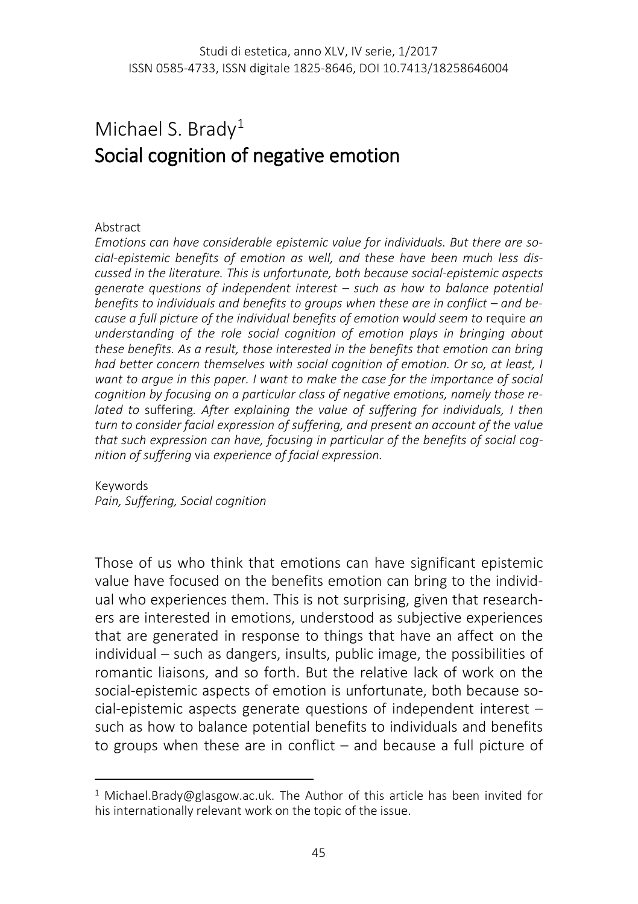## Michael S. Brady<sup>[1](#page-0-0)</sup> Social cognition of negative emotion

## Abstract

l

*Emotions can have considerable epistemic value for individuals. But there are social-epistemic benefits of emotion as well, and these have been much less discussed in the literature. This is unfortunate, both because social-epistemic aspects generate questions of independent interest – such as how to balance potential benefits to individuals and benefits to groups when these are in conflict – and because a full picture of the individual benefits of emotion would seem to require an understanding of the role social cognition of emotion plays in bringing about these benefits. As a result, those interested in the benefits that emotion can bring had better concern themselves with social cognition of emotion. Or so, at least, I want to argue in this paper. I want to make the case for the importance of social cognition by focusing on a particular class of negative emotions, namely those related to* suffering*. After explaining the value of suffering for individuals, I then turn to consider facial expression of suffering, and present an account of the value that such expression can have, focusing in particular of the benefits of social cognition of suffering* via *experience of facial expression.*

Keywords *Pain, Suffering, Social cognition*

Those of us who think that emotions can have significant epistemic value have focused on the benefits emotion can bring to the individual who experiences them. This is not surprising, given that researchers are interested in emotions, understood as subjective experiences that are generated in response to things that have an affect on the individual – such as dangers, insults, public image, the possibilities of romantic liaisons, and so forth. But the relative lack of work on the social-epistemic aspects of emotion is unfortunate, both because social-epistemic aspects generate questions of independent interest – such as how to balance potential benefits to individuals and benefits to groups when these are in conflict – and because a full picture of

<span id="page-0-0"></span><sup>&</sup>lt;sup>1</sup> Michael.Brady@glasgow.ac.uk. The Author of this article has been invited for his internationally relevant work on the topic of the issue.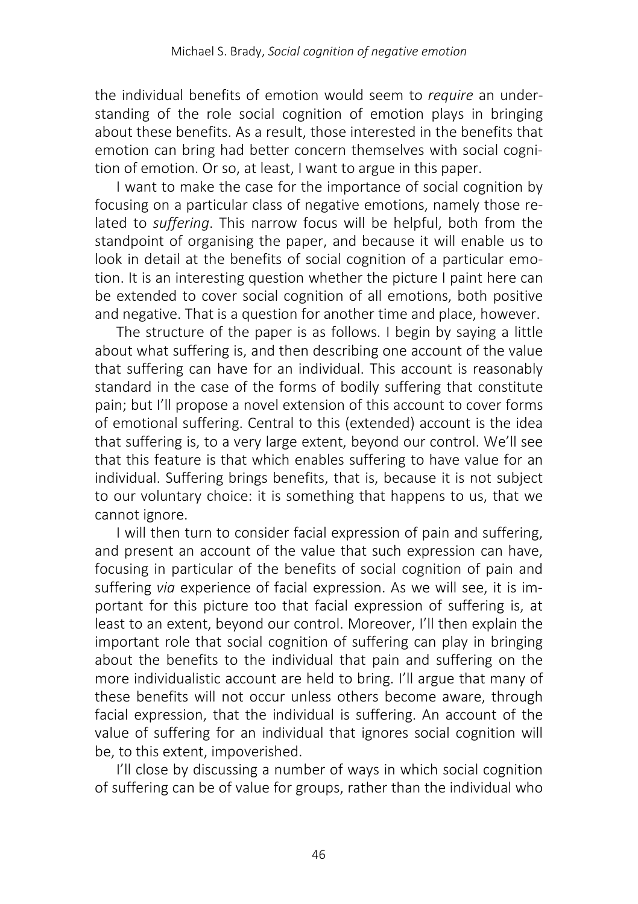the individual benefits of emotion would seem to *require* an understanding of the role social cognition of emotion plays in bringing about these benefits. As a result, those interested in the benefits that emotion can bring had better concern themselves with social cognition of emotion. Or so, at least, I want to argue in this paper.

I want to make the case for the importance of social cognition by focusing on a particular class of negative emotions, namely those related to *suffering*. This narrow focus will be helpful, both from the standpoint of organising the paper, and because it will enable us to look in detail at the benefits of social cognition of a particular emotion. It is an interesting question whether the picture I paint here can be extended to cover social cognition of all emotions, both positive and negative. That is a question for another time and place, however.

The structure of the paper is as follows. I begin by saying a little about what suffering is, and then describing one account of the value that suffering can have for an individual. This account is reasonably standard in the case of the forms of bodily suffering that constitute pain; but I'll propose a novel extension of this account to cover forms of emotional suffering. Central to this (extended) account is the idea that suffering is, to a very large extent, beyond our control. We'll see that this feature is that which enables suffering to have value for an individual. Suffering brings benefits, that is, because it is not subject to our voluntary choice: it is something that happens to us, that we cannot ignore.

I will then turn to consider facial expression of pain and suffering, and present an account of the value that such expression can have, focusing in particular of the benefits of social cognition of pain and suffering *via* experience of facial expression. As we will see, it is important for this picture too that facial expression of suffering is, at least to an extent, beyond our control. Moreover, I'll then explain the important role that social cognition of suffering can play in bringing about the benefits to the individual that pain and suffering on the more individualistic account are held to bring. I'll argue that many of these benefits will not occur unless others become aware, through facial expression, that the individual is suffering. An account of the value of suffering for an individual that ignores social cognition will be, to this extent, impoverished.

I'll close by discussing a number of ways in which social cognition of suffering can be of value for groups, rather than the individual who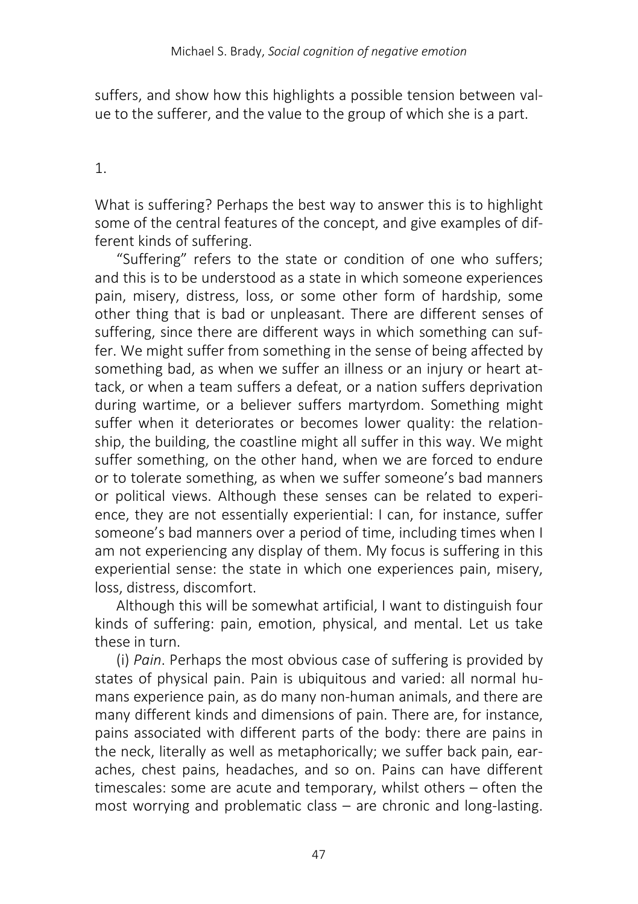suffers, and show how this highlights a possible tension between value to the sufferer, and the value to the group of which she is a part.

## 1.

What is suffering? Perhaps the best way to answer this is to highlight some of the central features of the concept, and give examples of different kinds of suffering.

"Suffering" refers to the state or condition of one who suffers; and this is to be understood as a state in which someone experiences pain, misery, distress, loss, or some other form of hardship, some other thing that is bad or unpleasant. There are different senses of suffering, since there are different ways in which something can suffer. We might suffer from something in the sense of being affected by something bad, as when we suffer an illness or an injury or heart attack, or when a team suffers a defeat, or a nation suffers deprivation during wartime, or a believer suffers martyrdom. Something might suffer when it deteriorates or becomes lower quality: the relationship, the building, the coastline might all suffer in this way. We might suffer something, on the other hand, when we are forced to endure or to tolerate something, as when we suffer someone's bad manners or political views. Although these senses can be related to experience, they are not essentially experiential: I can, for instance, suffer someone's bad manners over a period of time, including times when I am not experiencing any display of them. My focus is suffering in this experiential sense: the state in which one experiences pain, misery, loss, distress, discomfort.

Although this will be somewhat artificial, I want to distinguish four kinds of suffering: pain, emotion, physical, and mental. Let us take these in turn.

(i) *Pain*. Perhaps the most obvious case of suffering is provided by states of physical pain. Pain is ubiquitous and varied: all normal humans experience pain, as do many non-human animals, and there are many different kinds and dimensions of pain. There are, for instance, pains associated with different parts of the body: there are pains in the neck, literally as well as metaphorically; we suffer back pain, earaches, chest pains, headaches, and so on. Pains can have different timescales: some are acute and temporary, whilst others – often the most worrying and problematic class – are chronic and long-lasting.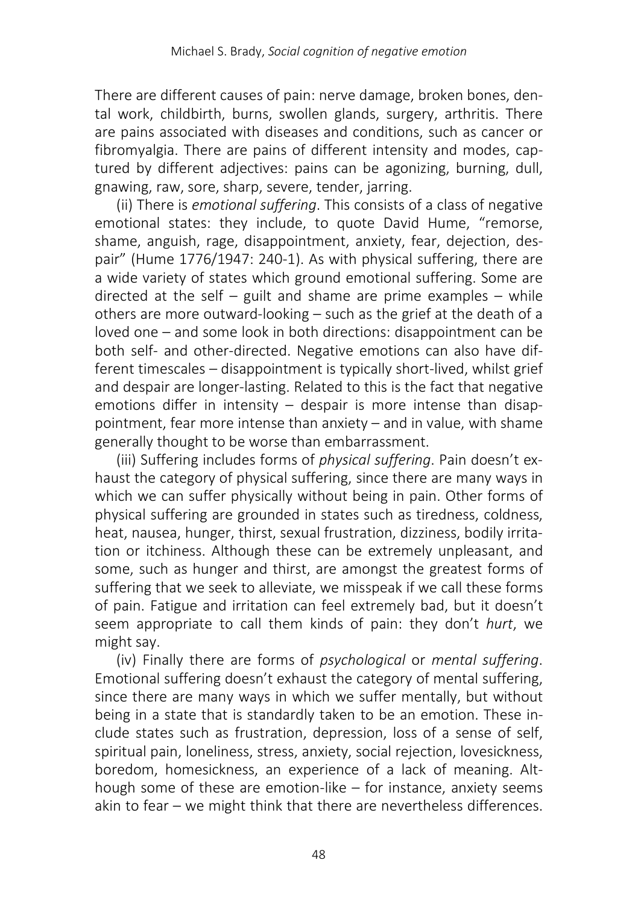There are different causes of pain: nerve damage, broken bones, dental work, childbirth, burns, swollen glands, surgery, arthritis. There are pains associated with diseases and conditions, such as cancer or fibromyalgia. There are pains of different intensity and modes, captured by different adjectives: pains can be agonizing, burning, dull, gnawing, raw, sore, sharp, severe, tender, jarring.

(ii) There is *emotional suffering*. This consists of a class of negative emotional states: they include, to quote David Hume, "remorse, shame, anguish, rage, disappointment, anxiety, fear, dejection, despair" (Hume 1776/1947: 240-1). As with physical suffering, there are a wide variety of states which ground emotional suffering. Some are directed at the self – guilt and shame are prime examples – while others are more outward-looking – such as the grief at the death of a loved one – and some look in both directions: disappointment can be both self- and other-directed. Negative emotions can also have different timescales – disappointment is typically short-lived, whilst grief and despair are longer-lasting. Related to this is the fact that negative emotions differ in intensity – despair is more intense than disappointment, fear more intense than anxiety – and in value, with shame generally thought to be worse than embarrassment.

(iii) Suffering includes forms of *physical suffering*. Pain doesn't exhaust the category of physical suffering, since there are many ways in which we can suffer physically without being in pain. Other forms of physical suffering are grounded in states such as tiredness, coldness, heat, nausea, hunger, thirst, sexual frustration, dizziness, bodily irritation or itchiness. Although these can be extremely unpleasant, and some, such as hunger and thirst, are amongst the greatest forms of suffering that we seek to alleviate, we misspeak if we call these forms of pain. Fatigue and irritation can feel extremely bad, but it doesn't seem appropriate to call them kinds of pain: they don't *hurt*, we might say.

(iv) Finally there are forms of *psychological* or *mental suffering*. Emotional suffering doesn't exhaust the category of mental suffering, since there are many ways in which we suffer mentally, but without being in a state that is standardly taken to be an emotion. These include states such as frustration, depression, loss of a sense of self, spiritual pain, loneliness, stress, anxiety, social rejection, lovesickness, boredom, homesickness, an experience of a lack of meaning. Although some of these are emotion-like – for instance, anxiety seems akin to fear – we might think that there are nevertheless differences.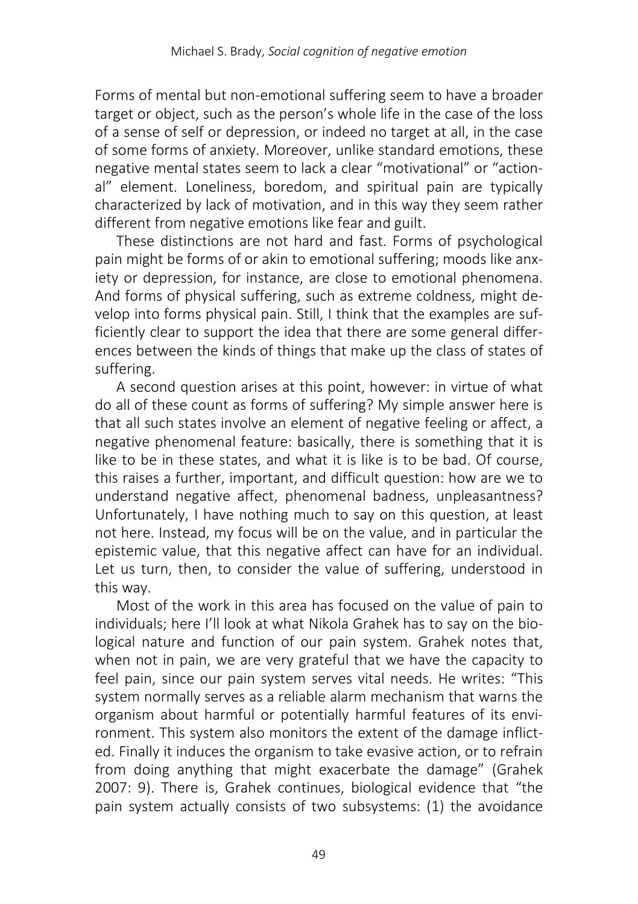Forms of mental but non-emotional suffering seem to have a broader target or object, such as the person's whole life in the case of the loss of a sense of self or depression, or indeed no target at all, in the case of some forms of anxiety. Moreover, unlike standard emotions, these negative mental states seem to lack a clear "motivational" or "actional" element. Loneliness, boredom, and spiritual pain are typically characterized by lack of motivation, and in this way they seem rather different from negative emotions like fear and guilt.

These distinctions are not hard and fast. Forms of psychological pain might be forms of or akin to emotional suffering; moods like anxiety or depression, for instance, are close to emotional phenomena. And forms of physical suffering, such as extreme coldness, might develop into forms physical pain. Still, I think that the examples are sufficiently clear to support the idea that there are some general differences between the kinds of things that make up the class of states of suffering.

A second question arises at this point, however: in virtue of what do all of these count as forms of suffering? My simple answer here is that all such states involve an element of negative feeling or affect, a negative phenomenal feature: basically, there is something that it is like to be in these states, and what it is like is to be bad. Of course, this raises a further, important, and difficult question: how are we to understand negative affect, phenomenal badness, unpleasantness? Unfortunately, I have nothing much to say on this question, at least not here. Instead, my focus will be on the value, and in particular the epistemic value, that this negative affect can have for an individual. Let us turn, then, to consider the value of suffering, understood in this way.

Most of the work in this area has focused on the value of pain to individuals; here I'll look at what Nikola Grahek has to say on the biological nature and function of our pain system. Grahek notes that, when not in pain, we are very grateful that we have the capacity to feel pain, since our pain system serves vital needs. He writes: "This system normally serves as a reliable alarm mechanism that warns the organism about harmful or potentially harmful features of its environment. This system also monitors the extent of the damage inflicted. Finally it induces the organism to take evasive action, or to refrain from doing anything that might exacerbate the damage" (Grahek 2007: 9). There is, Grahek continues, biological evidence that "the pain system actually consists of two subsystems: (1) the avoidance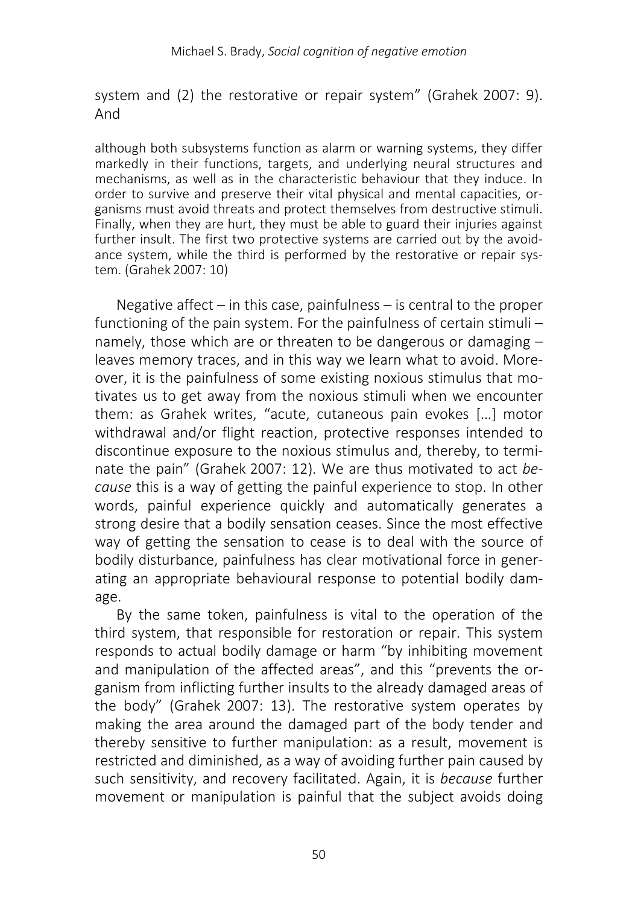system and (2) the restorative or repair system" (Grahek 2007: 9). And

although both subsystems function as alarm or warning systems, they differ markedly in their functions, targets, and underlying neural structures and mechanisms, as well as in the characteristic behaviour that they induce. In order to survive and preserve their vital physical and mental capacities, organisms must avoid threats and protect themselves from destructive stimuli. Finally, when they are hurt, they must be able to guard their injuries against further insult. The first two protective systems are carried out by the avoidance system, while the third is performed by the restorative or repair system. (Grahek 2007: 10)

Negative affect  $-$  in this case, painfulness  $-$  is central to the proper functioning of the pain system. For the painfulness of certain stimuli – namely, those which are or threaten to be dangerous or damaging – leaves memory traces, and in this way we learn what to avoid. Moreover, it is the painfulness of some existing noxious stimulus that motivates us to get away from the noxious stimuli when we encounter them: as Grahek writes, "acute, cutaneous pain evokes […] motor withdrawal and/or flight reaction, protective responses intended to discontinue exposure to the noxious stimulus and, thereby, to terminate the pain" (Grahek 2007: 12). We are thus motivated to act *because* this is a way of getting the painful experience to stop. In other words, painful experience quickly and automatically generates a strong desire that a bodily sensation ceases. Since the most effective way of getting the sensation to cease is to deal with the source of bodily disturbance, painfulness has clear motivational force in generating an appropriate behavioural response to potential bodily damage.

By the same token, painfulness is vital to the operation of the third system, that responsible for restoration or repair. This system responds to actual bodily damage or harm "by inhibiting movement and manipulation of the affected areas", and this "prevents the organism from inflicting further insults to the already damaged areas of the body" (Grahek 2007: 13). The restorative system operates by making the area around the damaged part of the body tender and thereby sensitive to further manipulation: as a result, movement is restricted and diminished, as a way of avoiding further pain caused by such sensitivity, and recovery facilitated. Again, it is *because* further movement or manipulation is painful that the subject avoids doing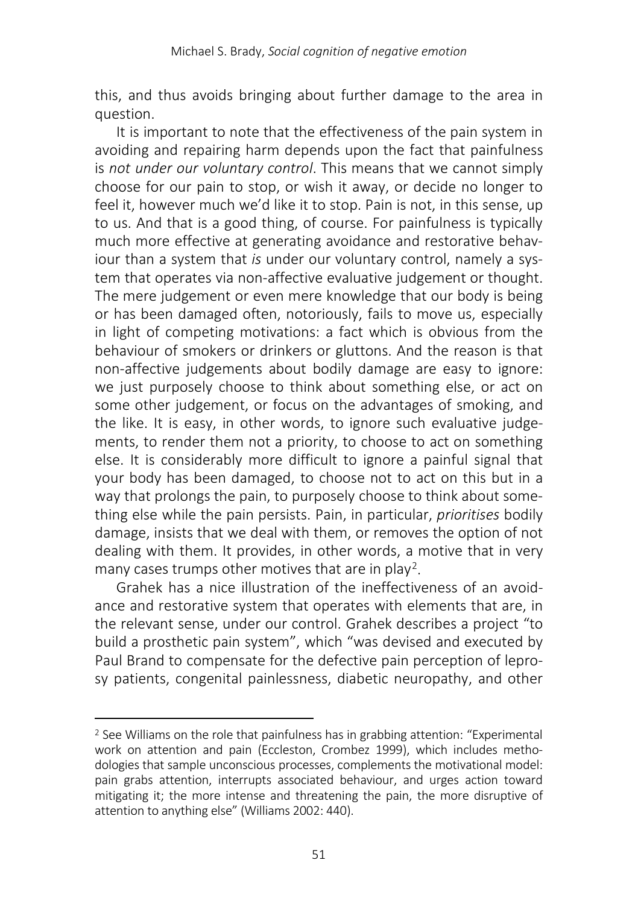this, and thus avoids bringing about further damage to the area in question.

It is important to note that the effectiveness of the pain system in avoiding and repairing harm depends upon the fact that painfulness is *not under our voluntary control*. This means that we cannot simply choose for our pain to stop, or wish it away, or decide no longer to feel it, however much we'd like it to stop. Pain is not, in this sense, up to us. And that is a good thing, of course. For painfulness is typically much more effective at generating avoidance and restorative behaviour than a system that *is* under our voluntary control, namely a system that operates via non-affective evaluative judgement or thought. The mere judgement or even mere knowledge that our body is being or has been damaged often, notoriously, fails to move us, especially in light of competing motivations: a fact which is obvious from the behaviour of smokers or drinkers or gluttons. And the reason is that non-affective judgements about bodily damage are easy to ignore: we just purposely choose to think about something else, or act on some other judgement, or focus on the advantages of smoking, and the like. It is easy, in other words, to ignore such evaluative judgements, to render them not a priority, to choose to act on something else. It is considerably more difficult to ignore a painful signal that your body has been damaged, to choose not to act on this but in a way that prolongs the pain, to purposely choose to think about something else while the pain persists. Pain, in particular, *prioritises* bodily damage, insists that we deal with them, or removes the option of not dealing with them. It provides, in other words, a motive that in very many cases trumps other motives that are in play[2.](#page-6-0)

Grahek has a nice illustration of the ineffectiveness of an avoidance and restorative system that operates with elements that are, in the relevant sense, under our control. Grahek describes a project "to build a prosthetic pain system", which "was devised and executed by Paul Brand to compensate for the defective pain perception of leprosy patients, congenital painlessness, diabetic neuropathy, and other

 $\overline{\phantom{a}}$ 

<span id="page-6-0"></span><sup>2</sup> See Williams on the role that painfulness has in grabbing attention: "Experimental work on attention and pain (Eccleston, Crombez 1999), which includes methodologies that sample unconscious processes, complements the motivational model: pain grabs attention, interrupts associated behaviour, and urges action toward mitigating it; the more intense and threatening the pain, the more disruptive of attention to anything else" (Williams 2002: 440).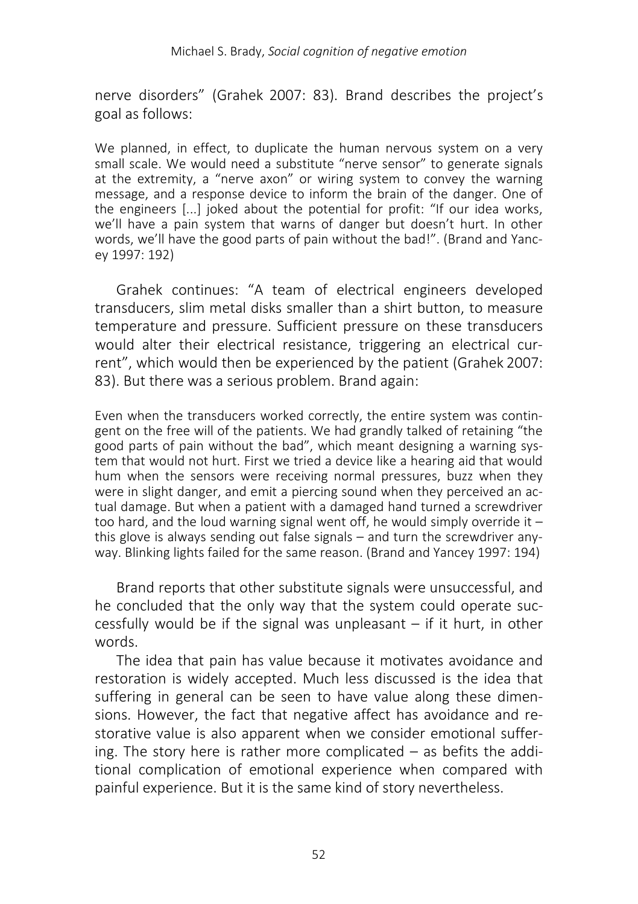nerve disorders" (Grahek 2007: 83). Brand describes the project's goal as follows:

We planned, in effect, to duplicate the human nervous system on a very small scale. We would need a substitute "nerve sensor" to generate signals at the extremity, a "nerve axon" or wiring system to convey the warning message, and a response device to inform the brain of the danger. One of the engineers [...] joked about the potential for profit: "If our idea works, we'll have a pain system that warns of danger but doesn't hurt. In other words, we'll have the good parts of pain without the bad!". (Brand and Yancey 1997: 192)

Grahek continues: "A team of electrical engineers developed transducers, slim metal disks smaller than a shirt button, to measure temperature and pressure. Sufficient pressure on these transducers would alter their electrical resistance, triggering an electrical current", which would then be experienced by the patient (Grahek 2007: 83). But there was a serious problem. Brand again:

Even when the transducers worked correctly, the entire system was contingent on the free will of the patients. We had grandly talked of retaining "the good parts of pain without the bad", which meant designing a warning system that would not hurt. First we tried a device like a hearing aid that would hum when the sensors were receiving normal pressures, buzz when they were in slight danger, and emit a piercing sound when they perceived an actual damage. But when a patient with a damaged hand turned a screwdriver too hard, and the loud warning signal went off, he would simply override it  $$ this glove is always sending out false signals – and turn the screwdriver anyway. Blinking lights failed for the same reason. (Brand and Yancey 1997: 194)

Brand reports that other substitute signals were unsuccessful, and he concluded that the only way that the system could operate successfully would be if the signal was unpleasant – if it hurt, in other words.

The idea that pain has value because it motivates avoidance and restoration is widely accepted. Much less discussed is the idea that suffering in general can be seen to have value along these dimensions. However, the fact that negative affect has avoidance and restorative value is also apparent when we consider emotional suffering. The story here is rather more complicated – as befits the additional complication of emotional experience when compared with painful experience. But it is the same kind of story nevertheless.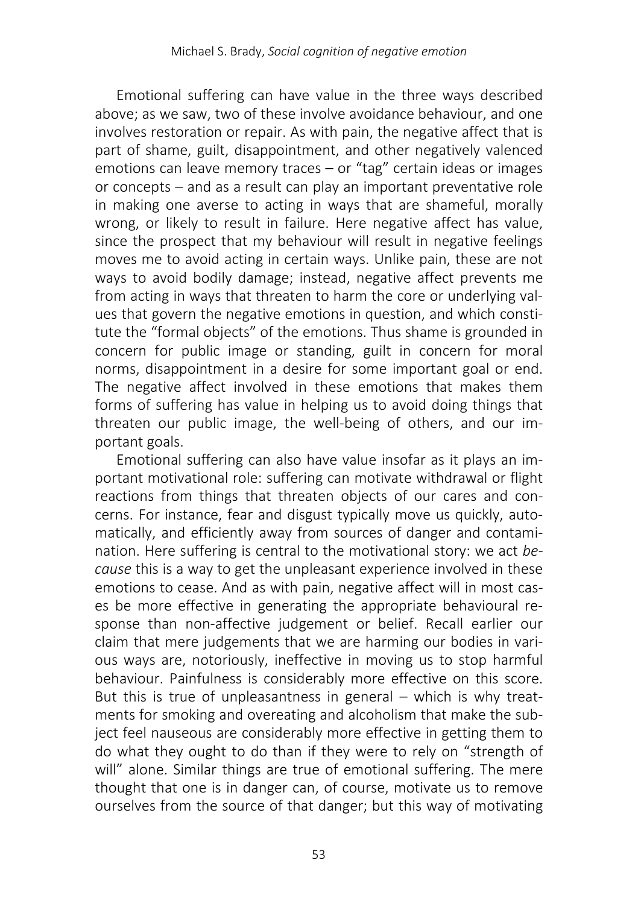Emotional suffering can have value in the three ways described above; as we saw, two of these involve avoidance behaviour, and one involves restoration or repair. As with pain, the negative affect that is part of shame, guilt, disappointment, and other negatively valenced emotions can leave memory traces – or "tag" certain ideas or images or concepts – and as a result can play an important preventative role in making one averse to acting in ways that are shameful, morally wrong, or likely to result in failure. Here negative affect has value, since the prospect that my behaviour will result in negative feelings moves me to avoid acting in certain ways. Unlike pain, these are not ways to avoid bodily damage; instead, negative affect prevents me from acting in ways that threaten to harm the core or underlying values that govern the negative emotions in question, and which constitute the "formal objects" of the emotions. Thus shame is grounded in concern for public image or standing, guilt in concern for moral norms, disappointment in a desire for some important goal or end. The negative affect involved in these emotions that makes them forms of suffering has value in helping us to avoid doing things that threaten our public image, the well-being of others, and our important goals.

Emotional suffering can also have value insofar as it plays an important motivational role: suffering can motivate withdrawal or flight reactions from things that threaten objects of our cares and concerns. For instance, fear and disgust typically move us quickly, automatically, and efficiently away from sources of danger and contamination. Here suffering is central to the motivational story: we act *because* this is a way to get the unpleasant experience involved in these emotions to cease. And as with pain, negative affect will in most cases be more effective in generating the appropriate behavioural response than non-affective judgement or belief. Recall earlier our claim that mere judgements that we are harming our bodies in various ways are, notoriously, ineffective in moving us to stop harmful behaviour. Painfulness is considerably more effective on this score. But this is true of unpleasantness in general – which is why treatments for smoking and overeating and alcoholism that make the subject feel nauseous are considerably more effective in getting them to do what they ought to do than if they were to rely on "strength of will" alone. Similar things are true of emotional suffering. The mere thought that one is in danger can, of course, motivate us to remove ourselves from the source of that danger; but this way of motivating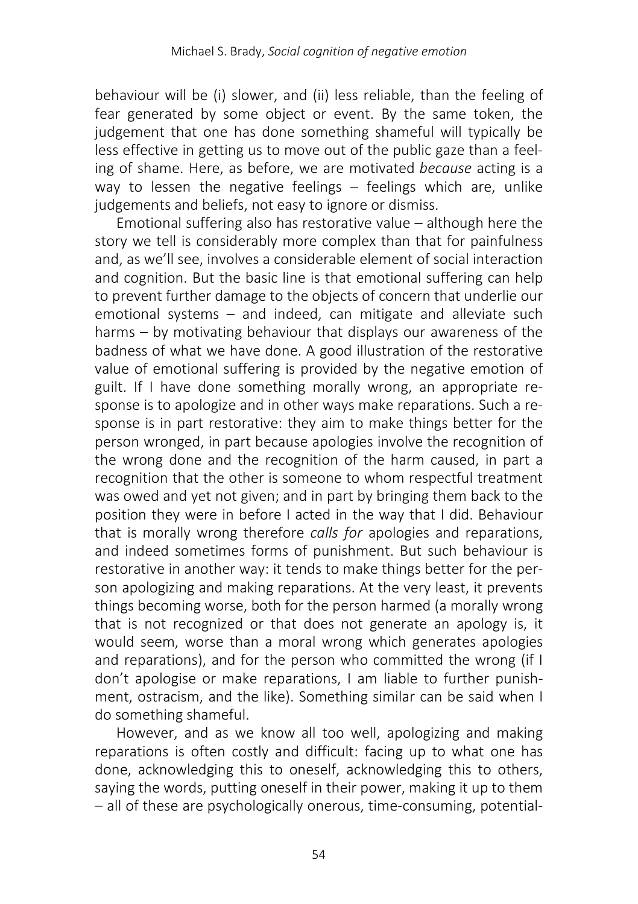behaviour will be (i) slower, and (ii) less reliable, than the feeling of fear generated by some object or event. By the same token, the judgement that one has done something shameful will typically be less effective in getting us to move out of the public gaze than a feeling of shame. Here, as before, we are motivated *because* acting is a way to lessen the negative feelings – feelings which are, unlike judgements and beliefs, not easy to ignore or dismiss.

Emotional suffering also has restorative value – although here the story we tell is considerably more complex than that for painfulness and, as we'll see, involves a considerable element of social interaction and cognition. But the basic line is that emotional suffering can help to prevent further damage to the objects of concern that underlie our emotional systems – and indeed, can mitigate and alleviate such harms – by motivating behaviour that displays our awareness of the badness of what we have done. A good illustration of the restorative value of emotional suffering is provided by the negative emotion of guilt. If I have done something morally wrong, an appropriate response is to apologize and in other ways make reparations. Such a response is in part restorative: they aim to make things better for the person wronged, in part because apologies involve the recognition of the wrong done and the recognition of the harm caused, in part a recognition that the other is someone to whom respectful treatment was owed and yet not given; and in part by bringing them back to the position they were in before I acted in the way that I did. Behaviour that is morally wrong therefore *calls for* apologies and reparations, and indeed sometimes forms of punishment. But such behaviour is restorative in another way: it tends to make things better for the person apologizing and making reparations. At the very least, it prevents things becoming worse, both for the person harmed (a morally wrong that is not recognized or that does not generate an apology is, it would seem, worse than a moral wrong which generates apologies and reparations), and for the person who committed the wrong (if I don't apologise or make reparations, I am liable to further punishment, ostracism, and the like). Something similar can be said when I do something shameful.

However, and as we know all too well, apologizing and making reparations is often costly and difficult: facing up to what one has done, acknowledging this to oneself, acknowledging this to others, saying the words, putting oneself in their power, making it up to them – all of these are psychologically onerous, time-consuming, potential-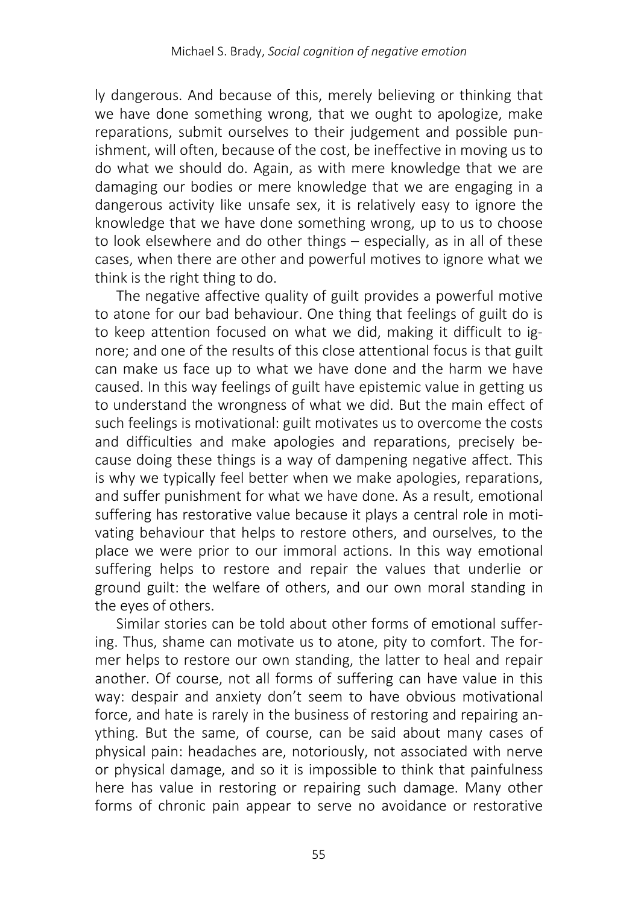ly dangerous. And because of this, merely believing or thinking that we have done something wrong, that we ought to apologize, make reparations, submit ourselves to their judgement and possible punishment, will often, because of the cost, be ineffective in moving us to do what we should do. Again, as with mere knowledge that we are damaging our bodies or mere knowledge that we are engaging in a dangerous activity like unsafe sex, it is relatively easy to ignore the knowledge that we have done something wrong, up to us to choose to look elsewhere and do other things – especially, as in all of these cases, when there are other and powerful motives to ignore what we think is the right thing to do.

The negative affective quality of guilt provides a powerful motive to atone for our bad behaviour. One thing that feelings of guilt do is to keep attention focused on what we did, making it difficult to ignore; and one of the results of this close attentional focus is that guilt can make us face up to what we have done and the harm we have caused. In this way feelings of guilt have epistemic value in getting us to understand the wrongness of what we did. But the main effect of such feelings is motivational: guilt motivates us to overcome the costs and difficulties and make apologies and reparations, precisely because doing these things is a way of dampening negative affect. This is why we typically feel better when we make apologies, reparations, and suffer punishment for what we have done. As a result, emotional suffering has restorative value because it plays a central role in motivating behaviour that helps to restore others, and ourselves, to the place we were prior to our immoral actions. In this way emotional suffering helps to restore and repair the values that underlie or ground guilt: the welfare of others, and our own moral standing in the eyes of others.

Similar stories can be told about other forms of emotional suffering. Thus, shame can motivate us to atone, pity to comfort. The former helps to restore our own standing, the latter to heal and repair another. Of course, not all forms of suffering can have value in this way: despair and anxiety don't seem to have obvious motivational force, and hate is rarely in the business of restoring and repairing anything. But the same, of course, can be said about many cases of physical pain: headaches are, notoriously, not associated with nerve or physical damage, and so it is impossible to think that painfulness here has value in restoring or repairing such damage. Many other forms of chronic pain appear to serve no avoidance or restorative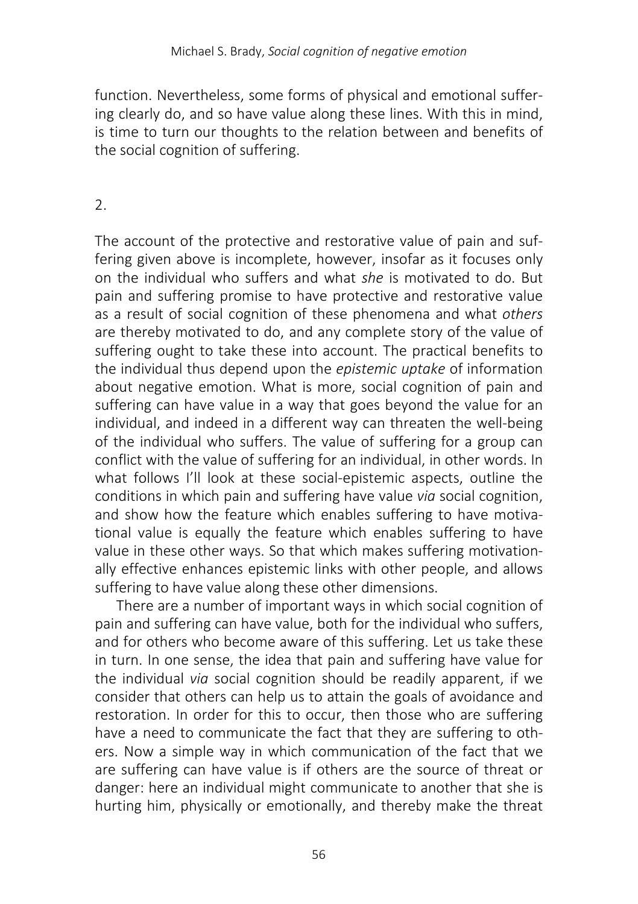function. Nevertheless, some forms of physical and emotional suffering clearly do, and so have value along these lines. With this in mind, is time to turn our thoughts to the relation between and benefits of the social cognition of suffering.

## $\mathcal{L}$

The account of the protective and restorative value of pain and suffering given above is incomplete, however, insofar as it focuses only on the individual who suffers and what *she* is motivated to do. But pain and suffering promise to have protective and restorative value as a result of social cognition of these phenomena and what *others* are thereby motivated to do, and any complete story of the value of suffering ought to take these into account. The practical benefits to the individual thus depend upon the *epistemic uptake* of information about negative emotion. What is more, social cognition of pain and suffering can have value in a way that goes beyond the value for an individual, and indeed in a different way can threaten the well-being of the individual who suffers. The value of suffering for a group can conflict with the value of suffering for an individual, in other words. In what follows I'll look at these social-epistemic aspects, outline the conditions in which pain and suffering have value *via* social cognition, and show how the feature which enables suffering to have motivational value is equally the feature which enables suffering to have value in these other ways. So that which makes suffering motivationally effective enhances epistemic links with other people, and allows suffering to have value along these other dimensions.

There are a number of important ways in which social cognition of pain and suffering can have value, both for the individual who suffers, and for others who become aware of this suffering. Let us take these in turn. In one sense, the idea that pain and suffering have value for the individual *via* social cognition should be readily apparent, if we consider that others can help us to attain the goals of avoidance and restoration. In order for this to occur, then those who are suffering have a need to communicate the fact that they are suffering to others. Now a simple way in which communication of the fact that we are suffering can have value is if others are the source of threat or danger: here an individual might communicate to another that she is hurting him, physically or emotionally, and thereby make the threat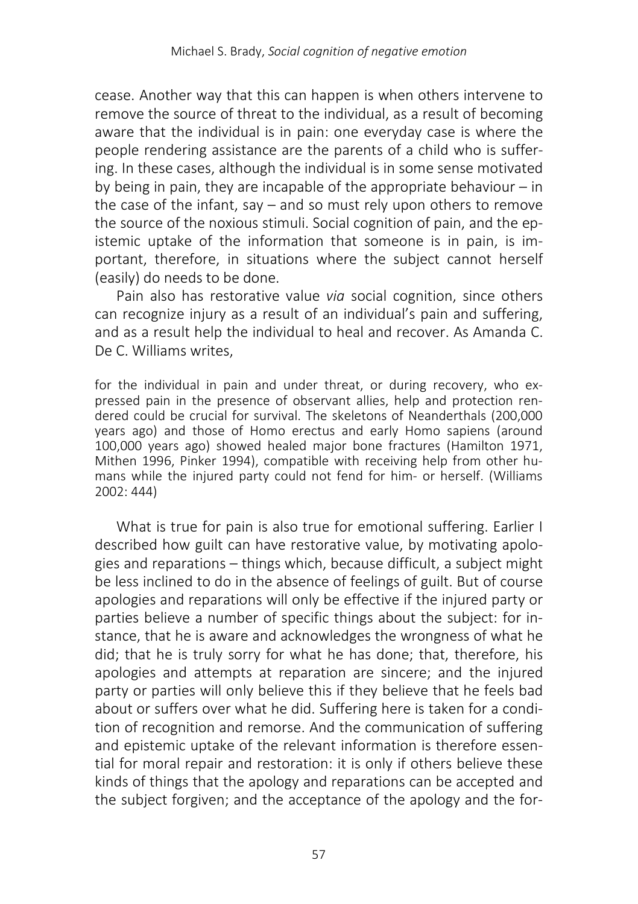cease. Another way that this can happen is when others intervene to remove the source of threat to the individual, as a result of becoming aware that the individual is in pain: one everyday case is where the people rendering assistance are the parents of a child who is suffering. In these cases, although the individual is in some sense motivated by being in pain, they are incapable of the appropriate behaviour  $-$  in the case of the infant, say – and so must rely upon others to remove the source of the noxious stimuli. Social cognition of pain, and the epistemic uptake of the information that someone is in pain, is important, therefore, in situations where the subject cannot herself (easily) do needs to be done.

Pain also has restorative value *via* social cognition, since others can recognize injury as a result of an individual's pain and suffering, and as a result help the individual to heal and recover. As Amanda C. De C. Williams writes

for the individual in pain and under threat, or during recovery, who expressed pain in the presence of observant allies, help and protection rendered could be crucial for survival. The skeletons of Neanderthals (200,000 years ago) and those of Homo erectus and early Homo sapiens (around 100,000 years ago) showed healed major bone fractures (Hamilton 1971, Mithen 1996, Pinker 1994), compatible with receiving help from other humans while the injured party could not fend for him- or herself. (Williams 2002: 444)

What is true for pain is also true for emotional suffering. Earlier I described how guilt can have restorative value, by motivating apologies and reparations – things which, because difficult, a subject might be less inclined to do in the absence of feelings of guilt. But of course apologies and reparations will only be effective if the injured party or parties believe a number of specific things about the subject: for instance, that he is aware and acknowledges the wrongness of what he did; that he is truly sorry for what he has done; that, therefore, his apologies and attempts at reparation are sincere; and the injured party or parties will only believe this if they believe that he feels bad about or suffers over what he did. Suffering here is taken for a condition of recognition and remorse. And the communication of suffering and epistemic uptake of the relevant information is therefore essential for moral repair and restoration: it is only if others believe these kinds of things that the apology and reparations can be accepted and the subject forgiven; and the acceptance of the apology and the for-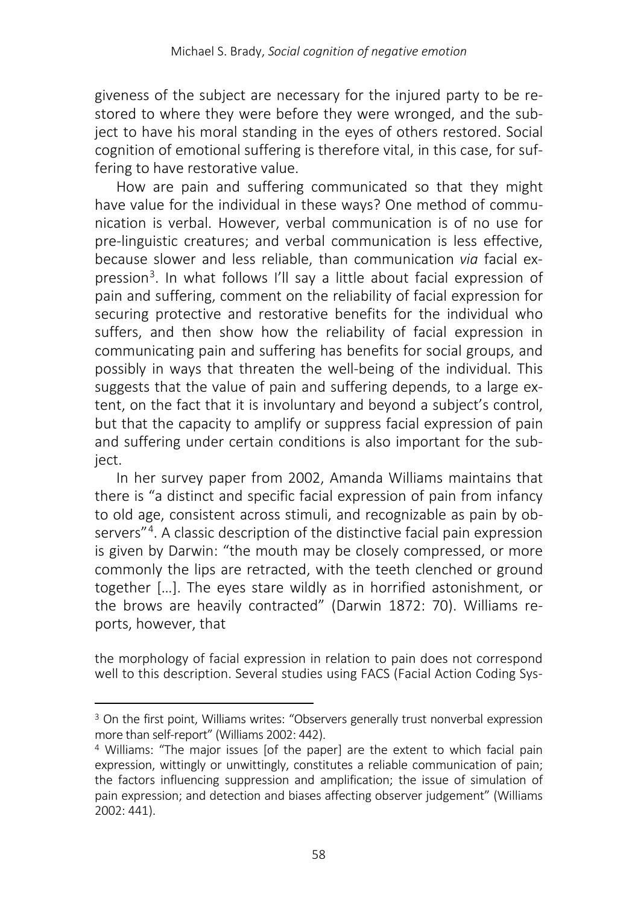giveness of the subject are necessary for the injured party to be restored to where they were before they were wronged, and the subject to have his moral standing in the eyes of others restored. Social cognition of emotional suffering is therefore vital, in this case, for suffering to have restorative value.

How are pain and suffering communicated so that they might have value for the individual in these ways? One method of communication is verbal. However, verbal communication is of no use for pre-linguistic creatures; and verbal communication is less effective, because slower and less reliable, than communication *via* facial expression[3](#page-13-0). In what follows I'll say a little about facial expression of pain and suffering, comment on the reliability of facial expression for securing protective and restorative benefits for the individual who suffers, and then show how the reliability of facial expression in communicating pain and suffering has benefits for social groups, and possibly in ways that threaten the well-being of the individual. This suggests that the value of pain and suffering depends, to a large extent, on the fact that it is involuntary and beyond a subject's control, but that the capacity to amplify or suppress facial expression of pain and suffering under certain conditions is also important for the subject.

In her survey paper from 2002, Amanda Williams maintains that there is "a distinct and specific facial expression of pain from infancy to old age, consistent across stimuli, and recognizable as pain by ob-servers<sup>"[4](#page-13-1)</sup>. A classic description of the distinctive facial pain expression is given by Darwin: "the mouth may be closely compressed, or more commonly the lips are retracted, with the teeth clenched or ground together […]. The eyes stare wildly as in horrified astonishment, or the brows are heavily contracted" (Darwin 1872: 70). Williams reports, however, that

the morphology of facial expression in relation to pain does not correspond well to this description. Several studies using FACS (Facial Action Coding Sys-

l

<span id="page-13-0"></span><sup>&</sup>lt;sup>3</sup> On the first point, Williams writes: "Observers generally trust nonverbal expression more than self-report" (Williams 2002: 442).

<span id="page-13-1"></span><sup>4</sup> Williams: "The major issues [of the paper] are the extent to which facial pain expression, wittingly or unwittingly, constitutes a reliable communication of pain; the factors influencing suppression and amplification; the issue of simulation of pain expression; and detection and biases affecting observer judgement" (Williams 2002: 441).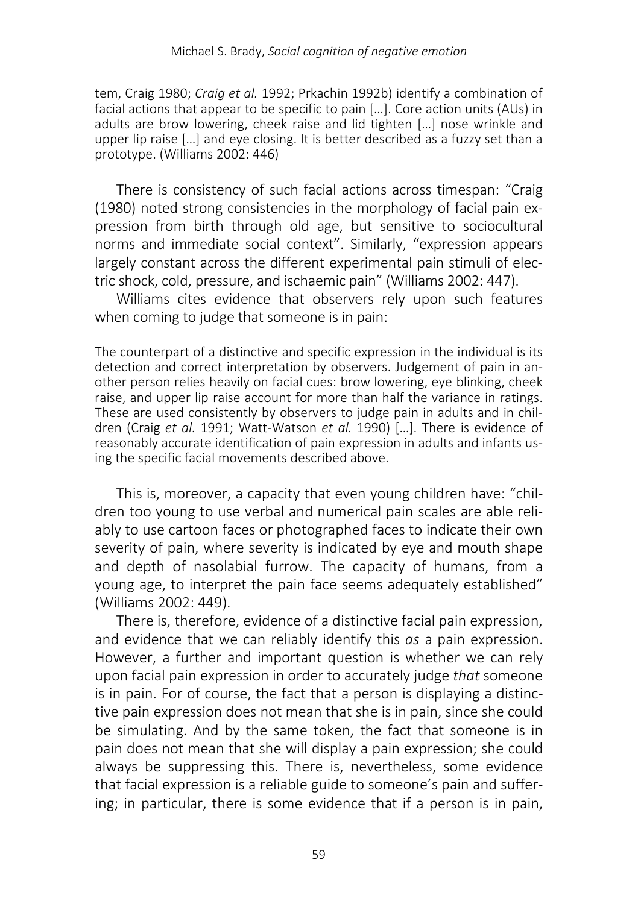tem, Craig 1980; *Craig et al.* 1992; Prkachin 1992b) identify a combination of facial actions that appear to be specific to pain […]. Core action units (AUs) in adults are brow lowering, cheek raise and lid tighten […] nose wrinkle and upper lip raise […] and eye closing. It is better described as a fuzzy set than a prototype. (Williams 2002: 446)

There is consistency of such facial actions across timespan: "Craig (1980) noted strong consistencies in the morphology of facial pain expression from birth through old age, but sensitive to sociocultural norms and immediate social context". Similarly, "expression appears largely constant across the different experimental pain stimuli of electric shock, cold, pressure, and ischaemic pain" (Williams 2002: 447).

Williams cites evidence that observers rely upon such features when coming to judge that someone is in pain:

The counterpart of a distinctive and specific expression in the individual is its detection and correct interpretation by observers. Judgement of pain in another person relies heavily on facial cues: brow lowering, eye blinking, cheek raise, and upper lip raise account for more than half the variance in ratings. These are used consistently by observers to judge pain in adults and in children (Craig *et al.* 1991; Watt-Watson *et al.* 1990) […]. There is evidence of reasonably accurate identification of pain expression in adults and infants using the specific facial movements described above.

This is, moreover, a capacity that even young children have: "children too young to use verbal and numerical pain scales are able reliably to use cartoon faces or photographed faces to indicate their own severity of pain, where severity is indicated by eye and mouth shape and depth of nasolabial furrow. The capacity of humans, from a young age, to interpret the pain face seems adequately established" (Williams 2002: 449).

There is, therefore, evidence of a distinctive facial pain expression, and evidence that we can reliably identify this *as* a pain expression. However, a further and important question is whether we can rely upon facial pain expression in order to accurately judge *that* someone is in pain. For of course, the fact that a person is displaying a distinctive pain expression does not mean that she is in pain, since she could be simulating. And by the same token, the fact that someone is in pain does not mean that she will display a pain expression; she could always be suppressing this. There is, nevertheless, some evidence that facial expression is a reliable guide to someone's pain and suffering; in particular, there is some evidence that if a person is in pain,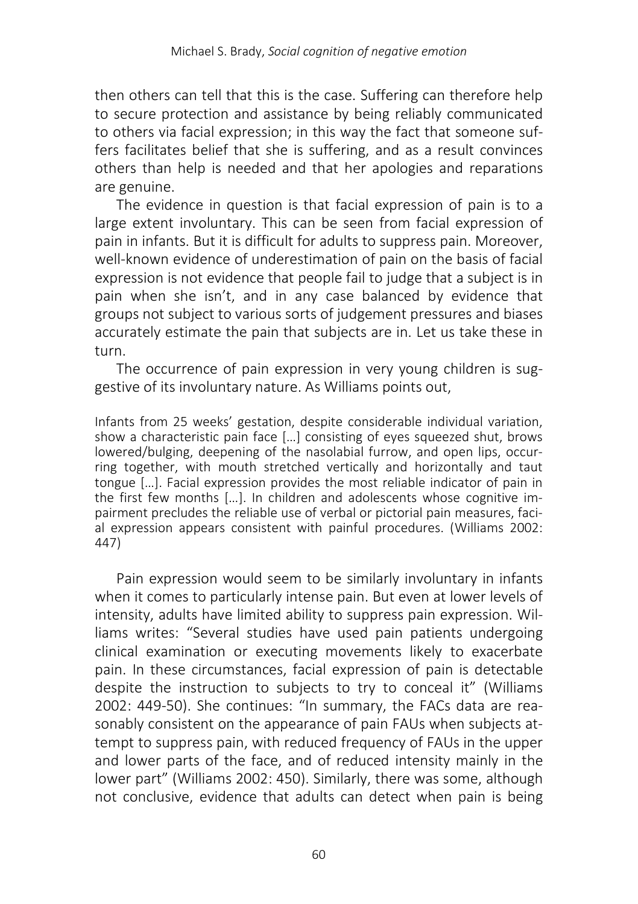then others can tell that this is the case. Suffering can therefore help to secure protection and assistance by being reliably communicated to others via facial expression; in this way the fact that someone suffers facilitates belief that she is suffering, and as a result convinces others than help is needed and that her apologies and reparations are genuine.

The evidence in question is that facial expression of pain is to a large extent involuntary. This can be seen from facial expression of pain in infants. But it is difficult for adults to suppress pain. Moreover, well-known evidence of underestimation of pain on the basis of facial expression is not evidence that people fail to judge that a subject is in pain when she isn't, and in any case balanced by evidence that groups not subject to various sorts of judgement pressures and biases accurately estimate the pain that subjects are in. Let us take these in turn.

The occurrence of pain expression in very young children is suggestive of its involuntary nature. As Williams points out,

Infants from 25 weeks' gestation, despite considerable individual variation, show a characteristic pain face […] consisting of eyes squeezed shut, brows lowered/bulging, deepening of the nasolabial furrow, and open lips, occurring together, with mouth stretched vertically and horizontally and taut tongue […]. Facial expression provides the most reliable indicator of pain in the first few months […]. In children and adolescents whose cognitive impairment precludes the reliable use of verbal or pictorial pain measures, facial expression appears consistent with painful procedures. (Williams 2002: 447)

Pain expression would seem to be similarly involuntary in infants when it comes to particularly intense pain. But even at lower levels of intensity, adults have limited ability to suppress pain expression. Williams writes: "Several studies have used pain patients undergoing clinical examination or executing movements likely to exacerbate pain. In these circumstances, facial expression of pain is detectable despite the instruction to subjects to try to conceal it" (Williams 2002: 449-50). She continues: "In summary, the FACs data are reasonably consistent on the appearance of pain FAUs when subjects attempt to suppress pain, with reduced frequency of FAUs in the upper and lower parts of the face, and of reduced intensity mainly in the lower part" (Williams 2002: 450). Similarly, there was some, although not conclusive, evidence that adults can detect when pain is being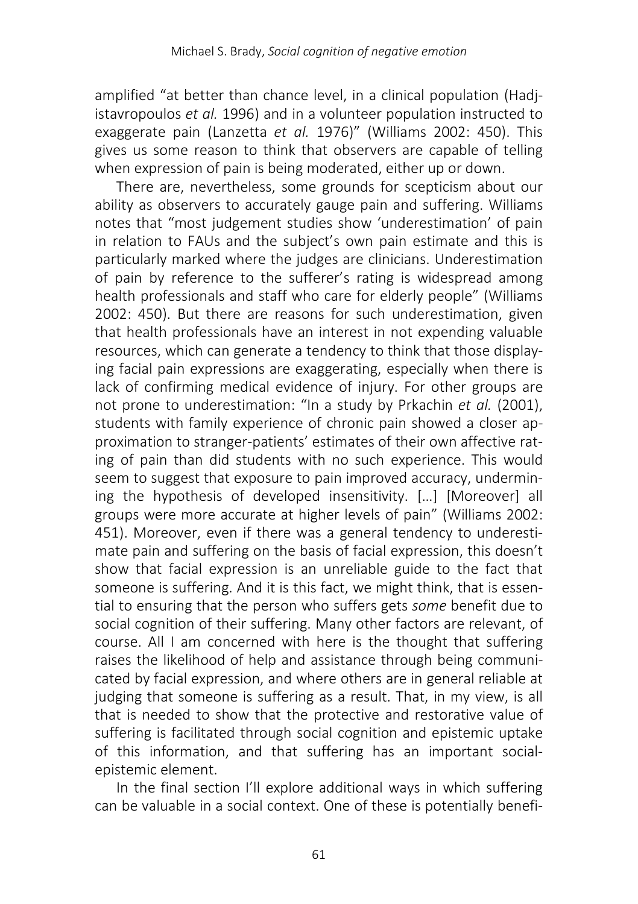amplified "at better than chance level, in a clinical population (Hadjistavropoulos *et al.* 1996) and in a volunteer population instructed to exaggerate pain (Lanzetta *et al.* 1976)" (Williams 2002: 450). This gives us some reason to think that observers are capable of telling when expression of pain is being moderated, either up or down.

There are, nevertheless, some grounds for scepticism about our ability as observers to accurately gauge pain and suffering. Williams notes that "most judgement studies show 'underestimation' of pain in relation to FAUs and the subject's own pain estimate and this is particularly marked where the judges are clinicians. Underestimation of pain by reference to the sufferer's rating is widespread among health professionals and staff who care for elderly people" (Williams 2002: 450). But there are reasons for such underestimation, given that health professionals have an interest in not expending valuable resources, which can generate a tendency to think that those displaying facial pain expressions are exaggerating, especially when there is lack of confirming medical evidence of injury. For other groups are not prone to underestimation: "In a study by Prkachin *et al.* (2001), students with family experience of chronic pain showed a closer approximation to stranger-patients' estimates of their own affective rating of pain than did students with no such experience. This would seem to suggest that exposure to pain improved accuracy, undermining the hypothesis of developed insensitivity. […] [Moreover] all groups were more accurate at higher levels of pain" (Williams 2002: 451). Moreover, even if there was a general tendency to underestimate pain and suffering on the basis of facial expression, this doesn't show that facial expression is an unreliable guide to the fact that someone is suffering. And it is this fact, we might think, that is essential to ensuring that the person who suffers gets *some* benefit due to social cognition of their suffering. Many other factors are relevant, of course. All I am concerned with here is the thought that suffering raises the likelihood of help and assistance through being communicated by facial expression, and where others are in general reliable at judging that someone is suffering as a result. That, in my view, is all that is needed to show that the protective and restorative value of suffering is facilitated through social cognition and epistemic uptake of this information, and that suffering has an important socialepistemic element.

In the final section I'll explore additional ways in which suffering can be valuable in a social context. One of these is potentially benefi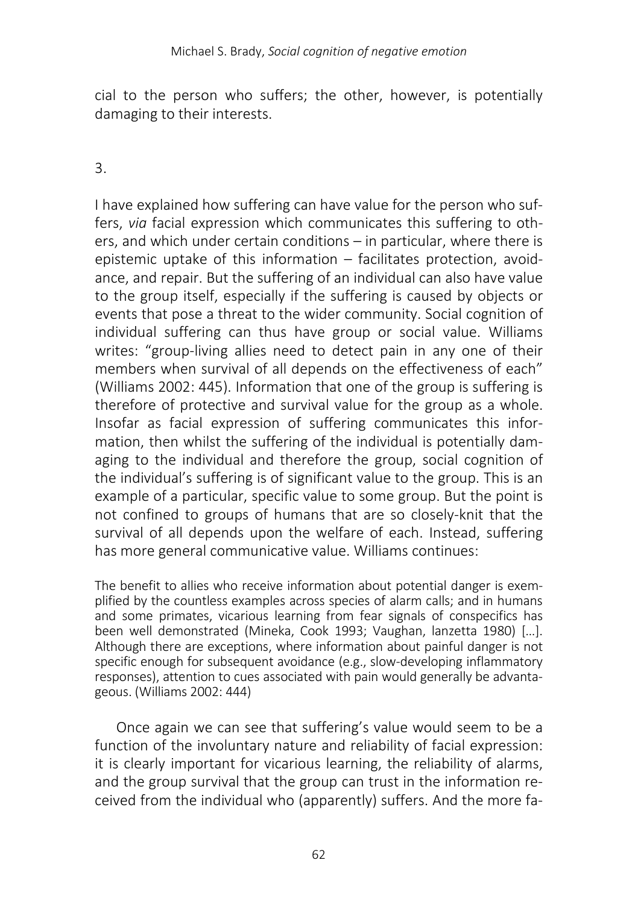cial to the person who suffers; the other, however, is potentially damaging to their interests.

3.

I have explained how suffering can have value for the person who suffers, *via* facial expression which communicates this suffering to others, and which under certain conditions – in particular, where there is epistemic uptake of this information – facilitates protection, avoidance, and repair. But the suffering of an individual can also have value to the group itself, especially if the suffering is caused by objects or events that pose a threat to the wider community. Social cognition of individual suffering can thus have group or social value. Williams writes: "group-living allies need to detect pain in any one of their members when survival of all depends on the effectiveness of each" (Williams 2002: 445). Information that one of the group is suffering is therefore of protective and survival value for the group as a whole. Insofar as facial expression of suffering communicates this information, then whilst the suffering of the individual is potentially damaging to the individual and therefore the group, social cognition of the individual's suffering is of significant value to the group. This is an example of a particular, specific value to some group. But the point is not confined to groups of humans that are so closely-knit that the survival of all depends upon the welfare of each. Instead, suffering has more general communicative value. Williams continues:

The benefit to allies who receive information about potential danger is exemplified by the countless examples across species of alarm calls; and in humans and some primates, vicarious learning from fear signals of conspecifics has been well demonstrated (Mineka, Cook 1993; Vaughan, lanzetta 1980) […]. Although there are exceptions, where information about painful danger is not specific enough for subsequent avoidance (e.g., slow-developing inflammatory responses), attention to cues associated with pain would generally be advantageous. (Williams 2002: 444)

Once again we can see that suffering's value would seem to be a function of the involuntary nature and reliability of facial expression: it is clearly important for vicarious learning, the reliability of alarms, and the group survival that the group can trust in the information received from the individual who (apparently) suffers. And the more fa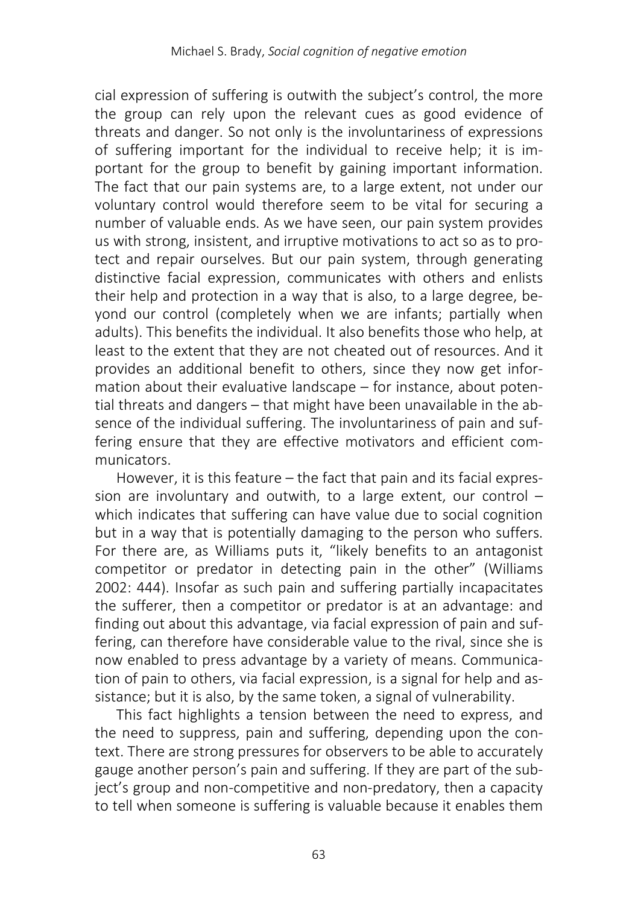cial expression of suffering is outwith the subject's control, the more the group can rely upon the relevant cues as good evidence of threats and danger. So not only is the involuntariness of expressions of suffering important for the individual to receive help; it is important for the group to benefit by gaining important information. The fact that our pain systems are, to a large extent, not under our voluntary control would therefore seem to be vital for securing a number of valuable ends. As we have seen, our pain system provides us with strong, insistent, and irruptive motivations to act so as to protect and repair ourselves. But our pain system, through generating distinctive facial expression, communicates with others and enlists their help and protection in a way that is also, to a large degree, beyond our control (completely when we are infants; partially when adults). This benefits the individual. It also benefits those who help, at least to the extent that they are not cheated out of resources. And it provides an additional benefit to others, since they now get information about their evaluative landscape – for instance, about potential threats and dangers – that might have been unavailable in the absence of the individual suffering. The involuntariness of pain and suffering ensure that they are effective motivators and efficient communicators.

However, it is this feature – the fact that pain and its facial expression are involuntary and outwith, to a large extent, our control – which indicates that suffering can have value due to social cognition but in a way that is potentially damaging to the person who suffers. For there are, as Williams puts it, "likely benefits to an antagonist competitor or predator in detecting pain in the other" (Williams 2002: 444). Insofar as such pain and suffering partially incapacitates the sufferer, then a competitor or predator is at an advantage: and finding out about this advantage, via facial expression of pain and suffering, can therefore have considerable value to the rival, since she is now enabled to press advantage by a variety of means. Communication of pain to others, via facial expression, is a signal for help and assistance; but it is also, by the same token, a signal of vulnerability.

This fact highlights a tension between the need to express, and the need to suppress, pain and suffering, depending upon the context. There are strong pressures for observers to be able to accurately gauge another person's pain and suffering. If they are part of the subject's group and non-competitive and non-predatory, then a capacity to tell when someone is suffering is valuable because it enables them